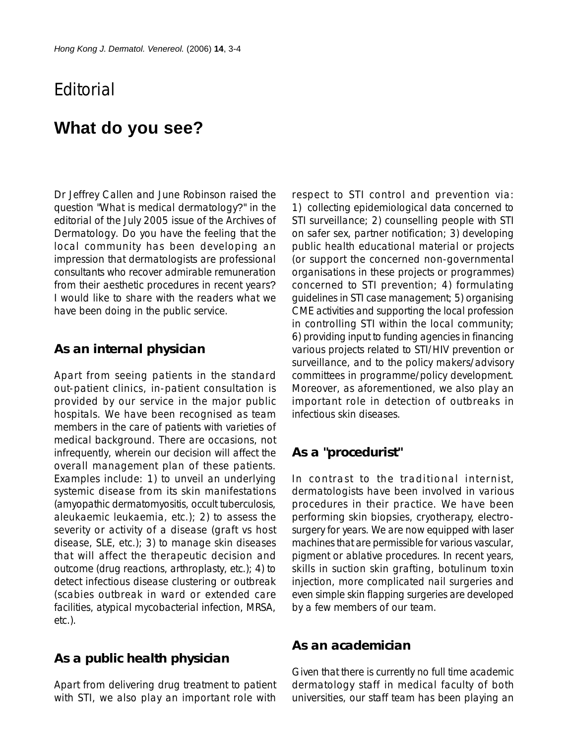## **F**ditorial

# **What do you see?**

Dr Jeffrey Callen and June Robinson raised the question "What is medical dermatology?" in the editorial of the July 2005 issue of the Archives of Dermatology. Do you have the feeling that the local community has been developing an impression that dermatologists are professional consultants who recover admirable remuneration from their aesthetic procedures in recent years? I would like to share with the readers what we have been doing in the public service.

### **As an internal physician**

Apart from seeing patients in the standard out-patient clinics, in-patient consultation is provided by our service in the major public hospitals. We have been recognised as team members in the care of patients with varieties of medical background. There are occasions, not infrequently, wherein our decision will affect the overall management plan of these patients. Examples include: 1) to unveil an underlying systemic disease from its skin manifestations (amyopathic dermatomyositis, occult tuberculosis, aleukaemic leukaemia, etc.); 2) to assess the severity or activity of a disease (graft vs host disease, SLE, etc.); 3) to manage skin diseases that will affect the therapeutic decision and outcome (drug reactions, arthroplasty, etc.); 4) to detect infectious disease clustering or outbreak (scabies outbreak in ward or extended care facilities, atypical mycobacterial infection, MRSA, etc.).

### **As a public health physician**

Apart from delivering drug treatment to patient with STI, we also play an important role with

respect to STI control and prevention via: 1) collecting epidemiological data concerned to STI surveillance; 2) counselling people with STI on safer sex, partner notification; 3) developing public health educational material or projects (or support the concerned non-governmental organisations in these projects or programmes) concerned to STI prevention; 4) formulating guidelines in STI case management; 5) organising CME activities and supporting the local profession in controlling STI within the local community; 6) providing input to funding agencies in financing various projects related to STI/HIV prevention or surveillance, and to the policy makers/advisory committees in programme/policy development. Moreover, as aforementioned, we also play an important role in detection of outbreaks in infectious skin diseases.

### **As a "procedurist"**

In contrast to the traditional internist, dermatologists have been involved in various procedures in their practice. We have been performing skin biopsies, cryotherapy, electrosurgery for years. We are now equipped with laser machines that are permissible for various vascular, pigment or ablative procedures. In recent years, skills in suction skin grafting, botulinum toxin injection, more complicated nail surgeries and even simple skin flapping surgeries are developed by a few members of our team.

#### **As an academician**

Given that there is currently no full time academic dermatology staff in medical faculty of both universities, our staff team has been playing an